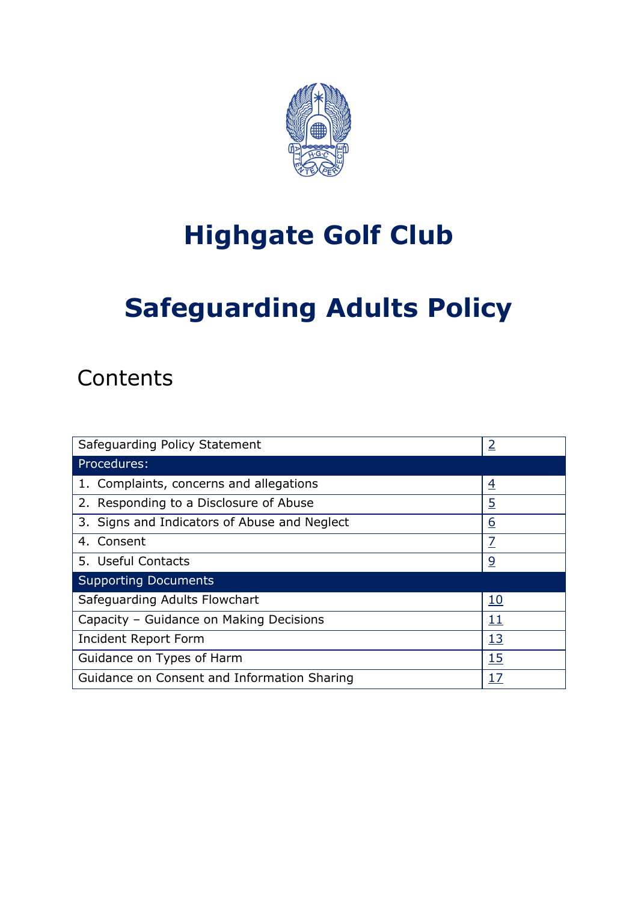

# **Highgate Golf Club**

# **Safeguarding Adults Policy**

## **Contents**

| Safeguarding Policy Statement                | $\overline{2}$ |
|----------------------------------------------|----------------|
| Procedures:                                  |                |
| 1. Complaints, concerns and allegations      | $\overline{4}$ |
| 2. Responding to a Disclosure of Abuse       | $\overline{5}$ |
| 3. Signs and Indicators of Abuse and Neglect | <u>6</u>       |
| 4. Consent                                   | 7              |
| 5. Useful Contacts                           | <u>و</u>       |
| <b>Supporting Documents</b>                  |                |
| Safeguarding Adults Flowchart                | <u>10</u>      |
| Capacity - Guidance on Making Decisions      | 11             |
| <b>Incident Report Form</b>                  | <u>13</u>      |
| <b>15</b><br>Guidance on Types of Harm       |                |
| Guidance on Consent and Information Sharing  | 17             |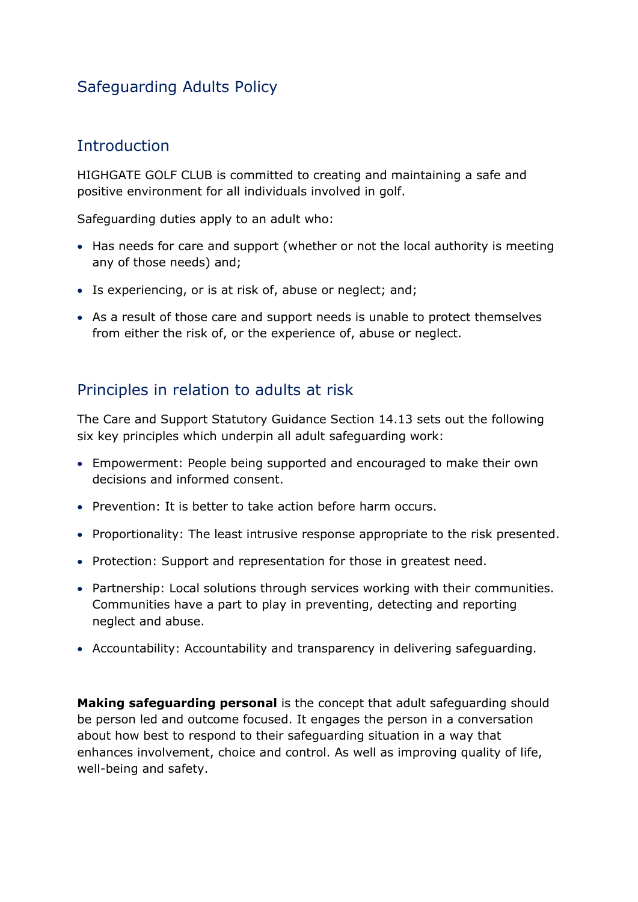## Safeguarding Adults Policy

## <span id="page-1-0"></span>**Introduction**

HIGHGATE GOLF CLUB is committed to creating and maintaining a safe and positive environment for all individuals involved in golf.

Safeguarding duties apply to an adult who:

- Has needs for care and support (whether or not the local authority is meeting any of those needs) and;
- Is experiencing, or is at risk of, abuse or neglect; and;
- As a result of those care and support needs is unable to protect themselves from either the risk of, or the experience of, abuse or neglect.

## Principles in relation to adults at risk

The Care and Support Statutory Guidance Section 14.13 sets out the following six key principles which underpin all adult safeguarding work:

- Empowerment: People being supported and encouraged to make their own decisions and informed consent.
- Prevention: It is better to take action before harm occurs.
- Proportionality: The least intrusive response appropriate to the risk presented.
- Protection: Support and representation for those in greatest need.
- Partnership: Local solutions through services working with their communities. Communities have a part to play in preventing, detecting and reporting neglect and abuse.
- Accountability: Accountability and transparency in delivering safeguarding.

**Making safeguarding personal** is the concept that adult safeguarding should be person led and outcome focused. It engages the person in a conversation about how best to respond to their safeguarding situation in a way that enhances involvement, choice and control. As well as improving quality of life, well-being and safety.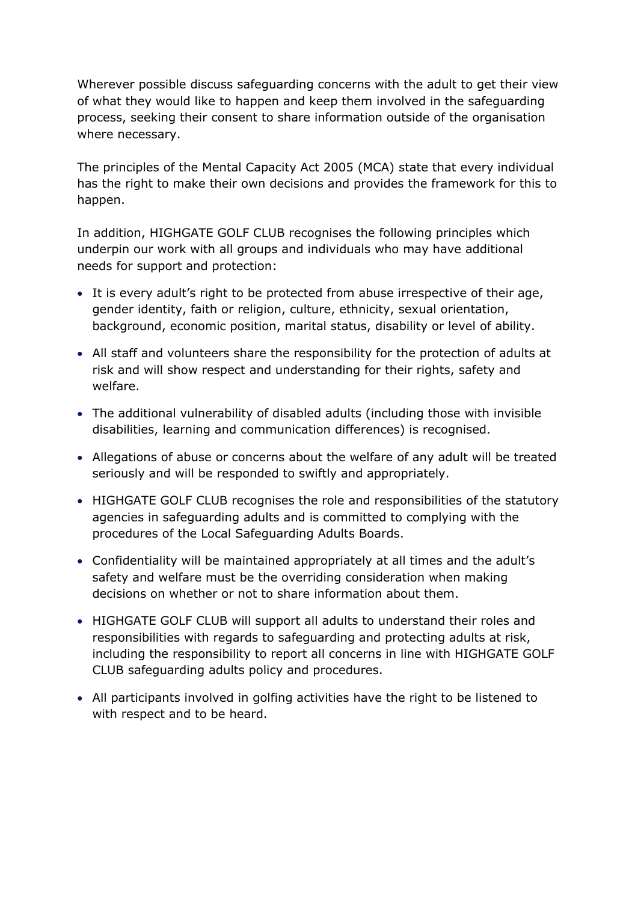Wherever possible discuss safeguarding concerns with the adult to get their view of what they would like to happen and keep them involved in the safeguarding process, seeking their consent to share information outside of the organisation where necessary.

The principles of the Mental Capacity Act 2005 (MCA) state that every individual has the right to make their own decisions and provides the framework for this to happen.

In addition, HIGHGATE GOLF CLUB recognises the following principles which underpin our work with all groups and individuals who may have additional needs for support and protection:

- It is every adult's right to be protected from abuse irrespective of their age, gender identity, faith or religion, culture, ethnicity, sexual orientation, background, economic position, marital status, disability or level of ability.
- All staff and volunteers share the responsibility for the protection of adults at risk and will show respect and understanding for their rights, safety and welfare.
- The additional vulnerability of disabled adults (including those with invisible disabilities, learning and communication differences) is recognised.
- Allegations of abuse or concerns about the welfare of any adult will be treated seriously and will be responded to swiftly and appropriately.
- HIGHGATE GOLF CLUB recognises the role and responsibilities of the statutory agencies in safeguarding adults and is committed to complying with the procedures of the Local Safeguarding Adults Boards.
- Confidentiality will be maintained appropriately at all times and the adult's safety and welfare must be the overriding consideration when making decisions on whether or not to share information about them.
- HIGHGATE GOLF CLUB will support all adults to understand their roles and responsibilities with regards to safeguarding and protecting adults at risk, including the responsibility to report all concerns in line with HIGHGATE GOLF CLUB safeguarding adults policy and procedures.
- All participants involved in golfing activities have the right to be listened to with respect and to be heard.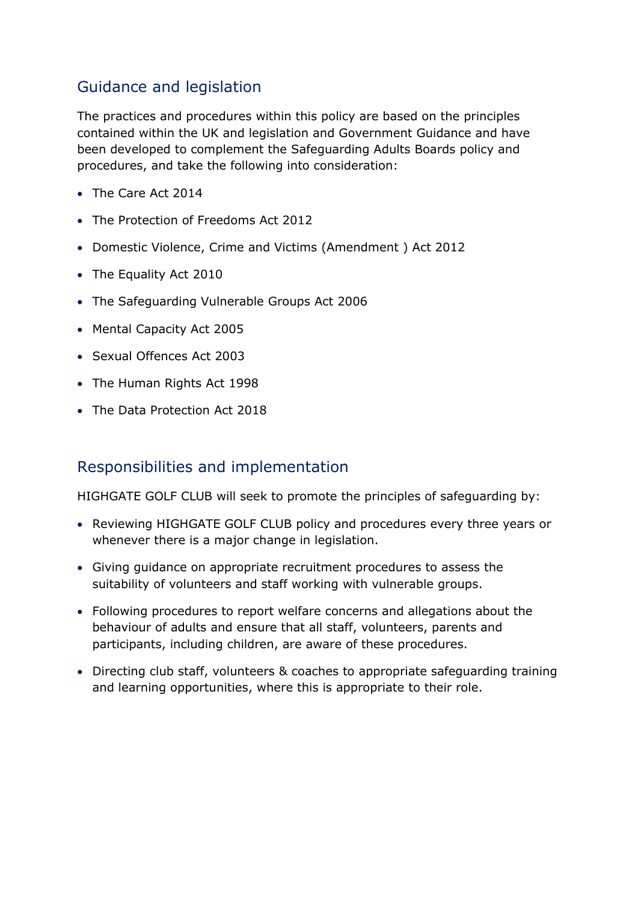## Guidance and legislation

The practices and procedures within this policy are based on the principles contained within the UK and legislation and Government Guidance and have been developed to complement the Safeguarding Adults Boards policy and procedures, and take the following into consideration:

- The Care Act 2014
- The Protection of Freedoms Act 2012
- Domestic Violence, Crime and Victims (Amendment ) Act 2012
- The Equality Act 2010
- The Safeguarding Vulnerable Groups Act 2006
- Mental Capacity Act 2005
- Sexual Offences Act 2003
- The Human Rights Act 1998
- The Data Protection Act 2018

### Responsibilities and implementation

HIGHGATE GOLF CLUB will seek to promote the principles of safeguarding by:

- Reviewing HIGHGATE GOLF CLUB policy and procedures every three years or whenever there is a major change in legislation.
- Giving guidance on appropriate recruitment procedures to assess the suitability of volunteers and staff working with vulnerable groups.
- Following procedures to report welfare concerns and allegations about the behaviour of adults and ensure that all staff, volunteers, parents and participants, including children, are aware of these procedures.
- Directing club staff, volunteers & coaches to appropriate safeguarding training and learning opportunities, where this is appropriate to their role.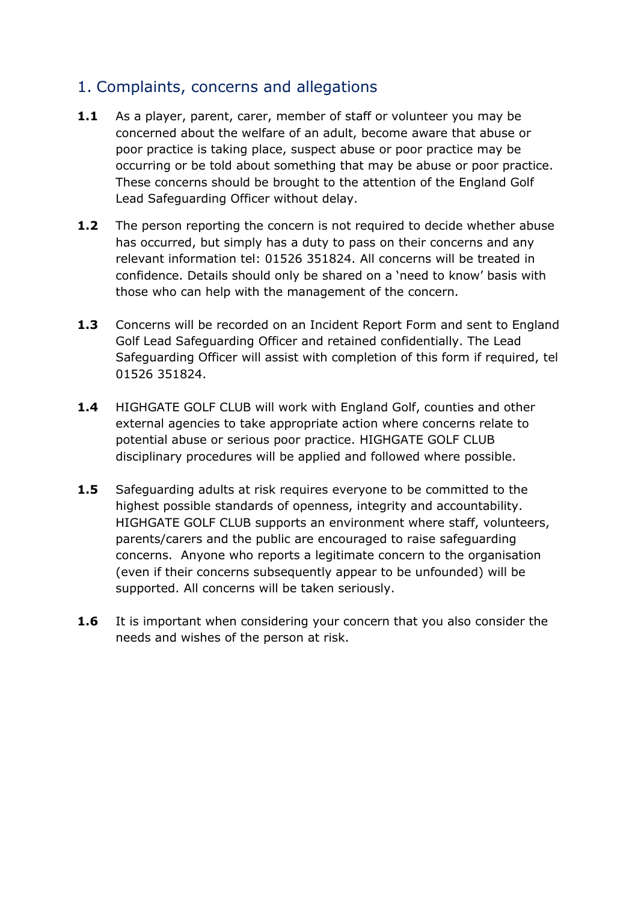## <span id="page-4-0"></span>1. Complaints, concerns and allegations

- **1.1** As a player, parent, carer, member of staff or volunteer you may be concerned about the welfare of an adult, become aware that abuse or poor practice is taking place, suspect abuse or poor practice may be occurring or be told about something that may be abuse or poor practice. These concerns should be brought to the attention of the England Golf Lead Safeguarding Officer without delay.
- **1.2** The person reporting the concern is not required to decide whether abuse has occurred, but simply has a duty to pass on their concerns and any relevant information tel: 01526 351824. All concerns will be treated in confidence. Details should only be shared on a 'need to know' basis with those who can help with the management of the concern.
- **1.3** Concerns will be recorded on an Incident Report Form and sent to England Golf Lead Safeguarding Officer and retained confidentially. The Lead Safeguarding Officer will assist with completion of this form if required, tel 01526 351824.
- **1.4** HIGHGATE GOLF CLUB will work with England Golf, counties and other external agencies to take appropriate action where concerns relate to potential abuse or serious poor practice. HIGHGATE GOLF CLUB disciplinary procedures will be applied and followed where possible.
- **1.5** Safeguarding adults at risk requires everyone to be committed to the highest possible standards of openness, integrity and accountability. HIGHGATE GOLF CLUB supports an environment where staff, volunteers, parents/carers and the public are encouraged to raise safeguarding concerns. Anyone who reports a legitimate concern to the organisation (even if their concerns subsequently appear to be unfounded) will be supported. All concerns will be taken seriously.
- **1.6** It is important when considering your concern that you also consider the needs and wishes of the person at risk.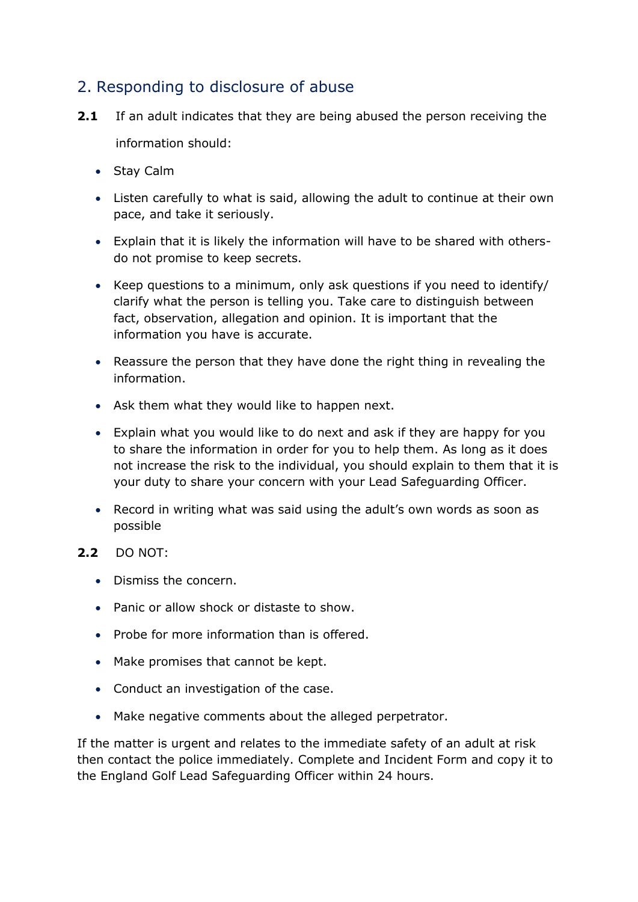## <span id="page-5-0"></span>2. Responding to disclosure of abuse

- **2.1** If an adult indicates that they are being abused the person receiving the information should:
	- Stay Calm
	- Listen carefully to what is said, allowing the adult to continue at their own pace, and take it seriously.
	- Explain that it is likely the information will have to be shared with othersdo not promise to keep secrets.
	- Keep questions to a minimum, only ask questions if you need to identify/ clarify what the person is telling you. Take care to distinguish between fact, observation, allegation and opinion. It is important that the information you have is accurate.
	- Reassure the person that they have done the right thing in revealing the information.
	- Ask them what they would like to happen next.
	- Explain what you would like to do next and ask if they are happy for you to share the information in order for you to help them. As long as it does not increase the risk to the individual, you should explain to them that it is your duty to share your concern with your Lead Safeguarding Officer.
	- Record in writing what was said using the adult's own words as soon as possible

#### **2.2** DO NOT:

- Dismiss the concern.
- Panic or allow shock or distaste to show.
- Probe for more information than is offered.
- Make promises that cannot be kept.
- Conduct an investigation of the case.
- Make negative comments about the alleged perpetrator.

If the matter is urgent and relates to the immediate safety of an adult at risk then contact the police immediately. Complete and Incident Form and copy it to the England Golf Lead Safeguarding Officer within 24 hours.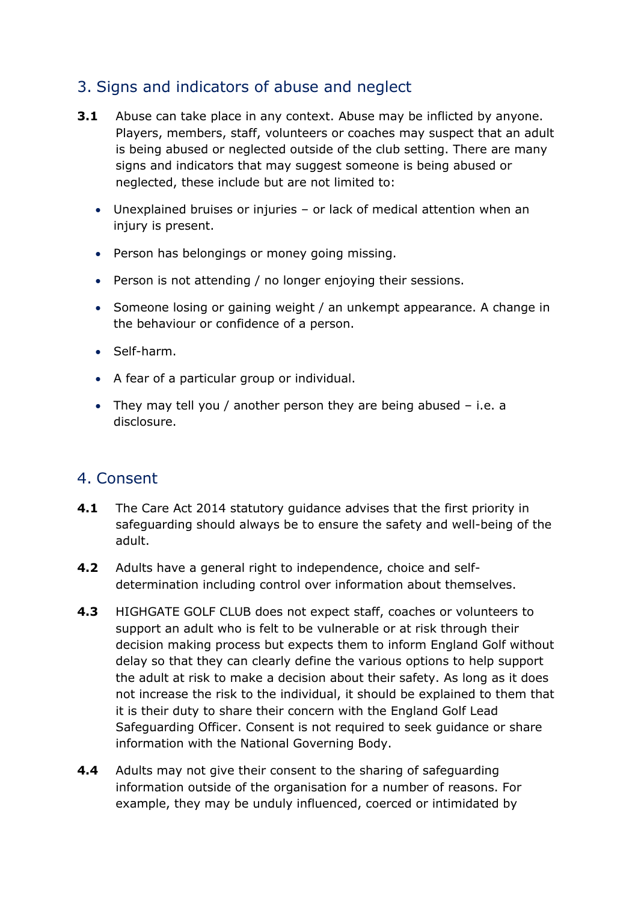## <span id="page-6-0"></span>3. Signs and indicators of abuse and neglect

- **3.1** Abuse can take place in any context. Abuse may be inflicted by anyone. Players, members, staff, volunteers or coaches may suspect that an adult is being abused or neglected outside of the club setting. There are many signs and indicators that may suggest someone is being abused or neglected, these include but are not limited to:
	- Unexplained bruises or injuries or lack of medical attention when an injury is present.
	- Person has belongings or money going missing.
	- Person is not attending / no longer enjoying their sessions.
	- Someone losing or gaining weight / an unkempt appearance. A change in the behaviour or confidence of a person.
	- Self-harm.
	- A fear of a particular group or individual.
	- They may tell you / another person they are being abused i.e. a disclosure.

### <span id="page-6-1"></span>4. Consent

- **4.1** The Care Act 2014 statutory guidance advises that the first priority in safeguarding should always be to ensure the safety and well-being of the adult.
- **4.2** Adults have a general right to independence, choice and selfdetermination including control over information about themselves.
- **4.3** HIGHGATE GOLF CLUB does not expect staff, coaches or volunteers to support an adult who is felt to be vulnerable or at risk through their decision making process but expects them to inform England Golf without delay so that they can clearly define the various options to help support the adult at risk to make a decision about their safety. As long as it does not increase the risk to the individual, it should be explained to them that it is their duty to share their concern with the England Golf Lead Safeguarding Officer. Consent is not required to seek guidance or share information with the National Governing Body.
- **4.4** Adults may not give their consent to the sharing of safeguarding information outside of the organisation for a number of reasons. For example, they may be unduly influenced, coerced or intimidated by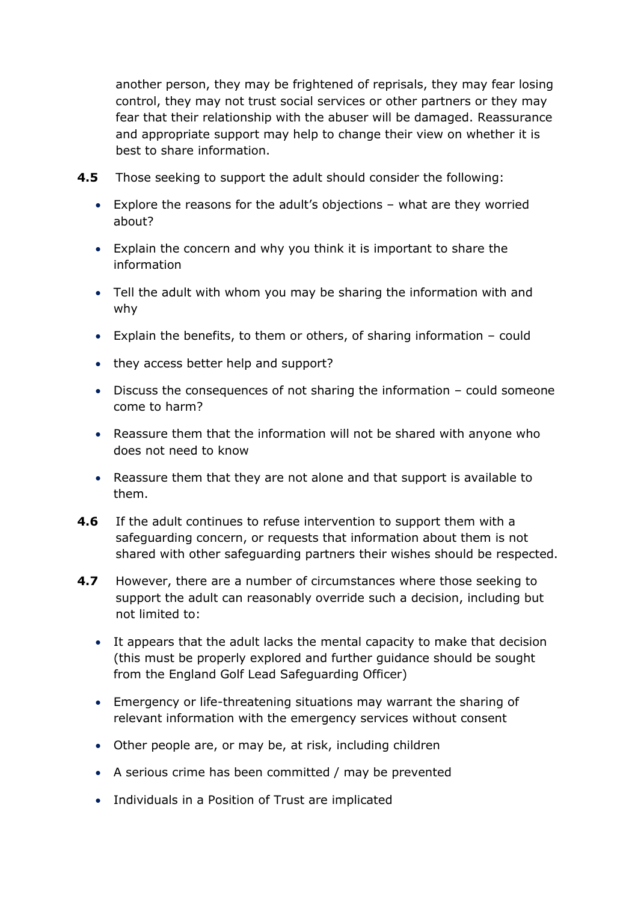another person, they may be frightened of reprisals, they may fear losing control, they may not trust social services or other partners or they may fear that their relationship with the abuser will be damaged. Reassurance and appropriate support may help to change their view on whether it is best to share information.

- **4.5** Those seeking to support the adult should consider the following:
	- Explore the reasons for the adult's objections what are they worried about?
	- Explain the concern and why you think it is important to share the information
	- Tell the adult with whom you may be sharing the information with and why
	- Explain the benefits, to them or others, of sharing information could
	- they access better help and support?
	- Discuss the consequences of not sharing the information could someone come to harm?
	- Reassure them that the information will not be shared with anyone who does not need to know
	- Reassure them that they are not alone and that support is available to them.
- **4.6** If the adult continues to refuse intervention to support them with a safeguarding concern, or requests that information about them is not shared with other safeguarding partners their wishes should be respected.
- **4.7** However, there are a number of circumstances where those seeking to support the adult can reasonably override such a decision, including but not limited to:
	- It appears that the adult lacks the mental capacity to make that decision (this must be properly explored and further guidance should be sought from the England Golf Lead Safeguarding Officer)
	- Emergency or life-threatening situations may warrant the sharing of relevant information with the emergency services without consent
	- Other people are, or may be, at risk, including children
	- A serious crime has been committed / may be prevented
	- Individuals in a Position of Trust are implicated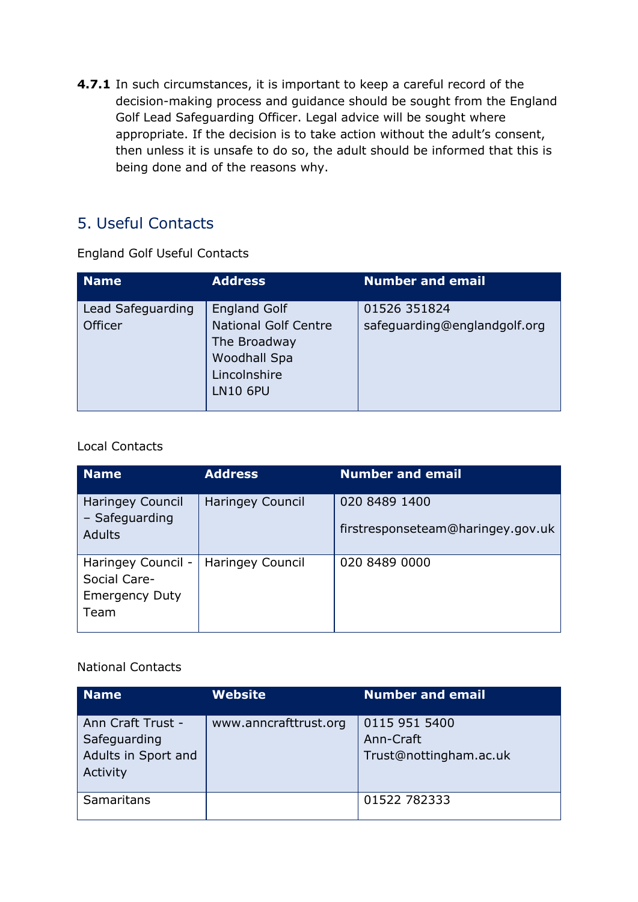**4.7.1** In such circumstances, it is important to keep a careful record of the decision-making process and guidance should be sought from the England Golf Lead Safeguarding Officer. Legal advice will be sought where appropriate. If the decision is to take action without the adult's consent, then unless it is unsafe to do so, the adult should be informed that this is being done and of the reasons why.

## <span id="page-8-0"></span>5. Useful Contacts

England Golf Useful Contacts

| <b>Name</b>                  | <b>Address</b>                                                                                                               | <b>Number and email</b>                      |
|------------------------------|------------------------------------------------------------------------------------------------------------------------------|----------------------------------------------|
| Lead Safeguarding<br>Officer | <b>England Golf</b><br><b>National Golf Centre</b><br>The Broadway<br><b>Woodhall Spa</b><br>Lincolnshire<br><b>LN10 6PU</b> | 01526 351824<br>safeguarding@englandgolf.org |

#### Local Contacts

| <b>Name</b>                                                         | <b>Address</b>   | <b>Number and email</b>                            |
|---------------------------------------------------------------------|------------------|----------------------------------------------------|
| <b>Haringey Council</b><br>- Safeguarding<br><b>Adults</b>          | Haringey Council | 020 8489 1400<br>firstresponseteam@haringey.gov.uk |
| Haringey Council -<br>Social Care-<br><b>Emergency Duty</b><br>Team | Haringey Council | 020 8489 0000                                      |

#### National Contacts

| <b>Name</b>                                                          | <b>Website</b>        | <b>Number and email</b>                              |
|----------------------------------------------------------------------|-----------------------|------------------------------------------------------|
| Ann Craft Trust -<br>Safeguarding<br>Adults in Sport and<br>Activity | www.anncrafttrust.org | 0115 951 5400<br>Ann-Craft<br>Trust@nottingham.ac.uk |
| Samaritans                                                           |                       | 01522 782333                                         |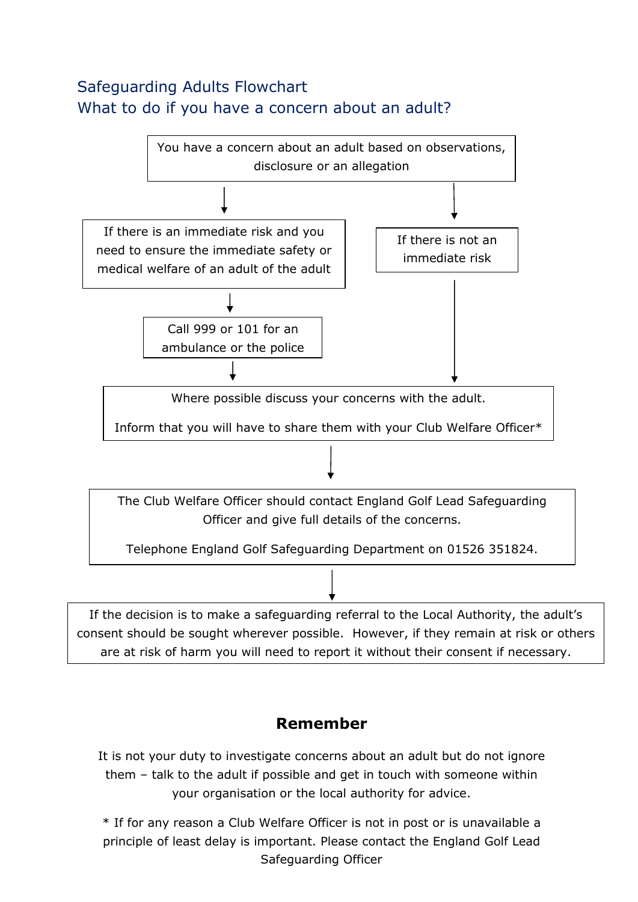## <span id="page-9-0"></span>Safeguarding Adults Flowchart What to do if you have a concern about an adult?



## **Remember**

It is not your duty to investigate concerns about an adult but do not ignore them – talk to the adult if possible and get in touch with someone within your organisation or the local authority for advice.

\* If for any reason a Club Welfare Officer is not in post or is unavailable a principle of least delay is important. Please contact the England Golf Lead Safeguarding Officer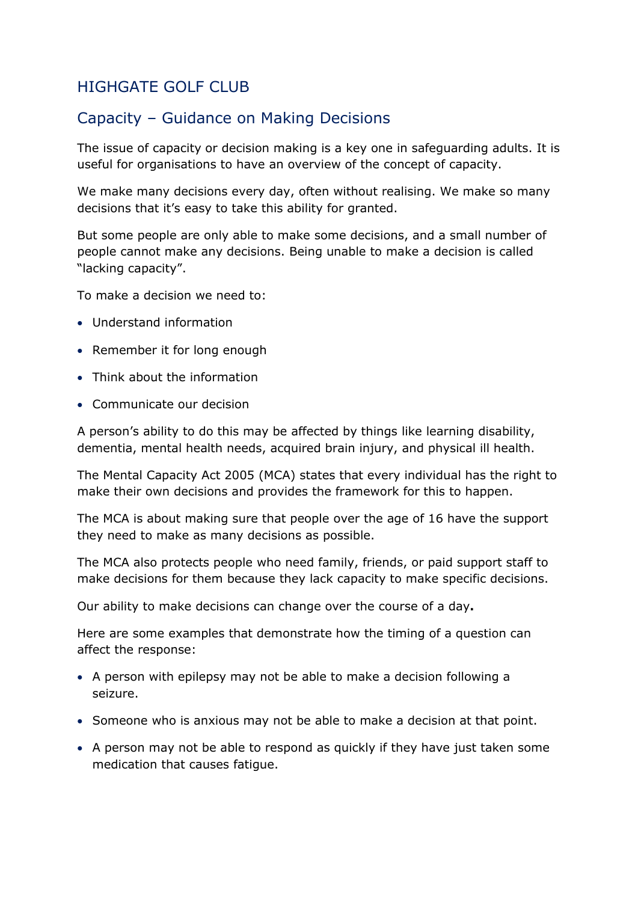## <span id="page-10-0"></span>HIGHGATE GOLF CLUB

## Capacity – Guidance on Making Decisions

The issue of capacity or decision making is a key one in safeguarding adults. It is useful for organisations to have an overview of the concept of capacity.

We make many decisions every day, often without realising. We make so many decisions that it's easy to take this ability for granted.

But some people are only able to make some decisions, and a small number of people cannot make any decisions. Being unable to make a decision is called "lacking capacity".

To make a decision we need to:

- Understand information
- Remember it for long enough
- Think about the information
- Communicate our decision

A person's ability to do this may be affected by things like learning disability, dementia, mental health needs, acquired brain injury, and physical ill health.

The Mental Capacity Act 2005 (MCA) states that every individual has the right to make their own decisions and provides the framework for this to happen.

The MCA is about making sure that people over the age of 16 have the support they need to make as many decisions as possible.

The MCA also protects people who need family, friends, or paid support staff to make decisions for them because they lack capacity to make specific decisions.

Our ability to make decisions can change over the course of a day**.**

Here are some examples that demonstrate how the timing of a question can affect the response:

- A person with epilepsy may not be able to make a decision following a seizure.
- Someone who is anxious may not be able to make a decision at that point.
- A person may not be able to respond as quickly if they have just taken some medication that causes fatigue.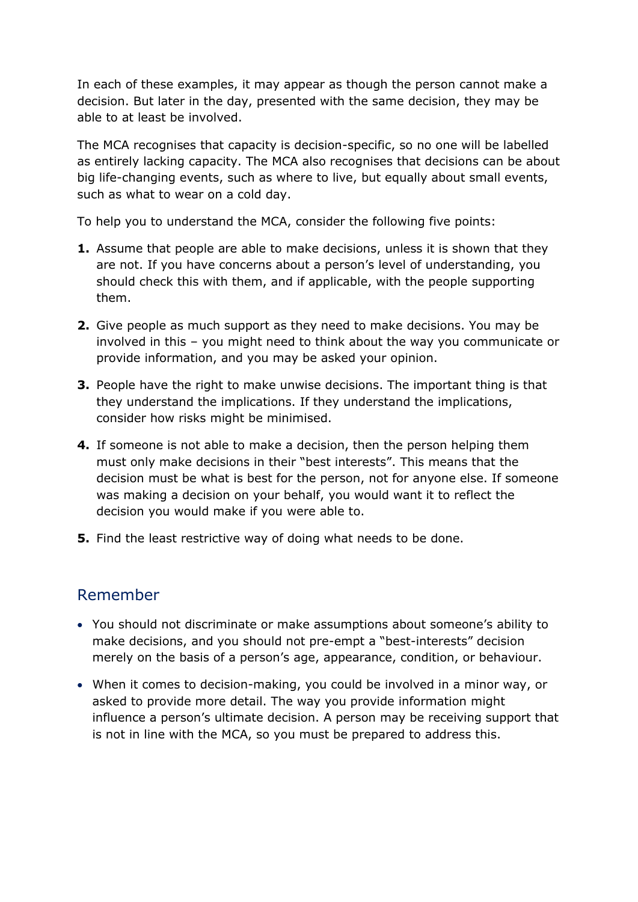In each of these examples, it may appear as though the person cannot make a decision. But later in the day, presented with the same decision, they may be able to at least be involved.

The MCA recognises that capacity is decision-specific, so no one will be labelled as entirely lacking capacity. The MCA also recognises that decisions can be about big life-changing events, such as where to live, but equally about small events, such as what to wear on a cold day.

To help you to understand the MCA, consider the following five points:

- **1.** Assume that people are able to make decisions, unless it is shown that they are not. If you have concerns about a person's level of understanding, you should check this with them, and if applicable, with the people supporting them.
- **2.** Give people as much support as they need to make decisions. You may be involved in this – you might need to think about the way you communicate or provide information, and you may be asked your opinion.
- **3.** People have the right to make unwise decisions. The important thing is that they understand the implications. If they understand the implications, consider how risks might be minimised.
- **4.** If someone is not able to make a decision, then the person helping them must only make decisions in their "best interests". This means that the decision must be what is best for the person, not for anyone else. If someone was making a decision on your behalf, you would want it to reflect the decision you would make if you were able to.
- **5.** Find the least restrictive way of doing what needs to be done.

## Remember

- You should not discriminate or make assumptions about someone's ability to make decisions, and you should not pre-empt a "best-interests" decision merely on the basis of a person's age, appearance, condition, or behaviour.
- When it comes to decision-making, you could be involved in a minor way, or asked to provide more detail. The way you provide information might influence a person's ultimate decision. A person may be receiving support that is not in line with the MCA, so you must be prepared to address this.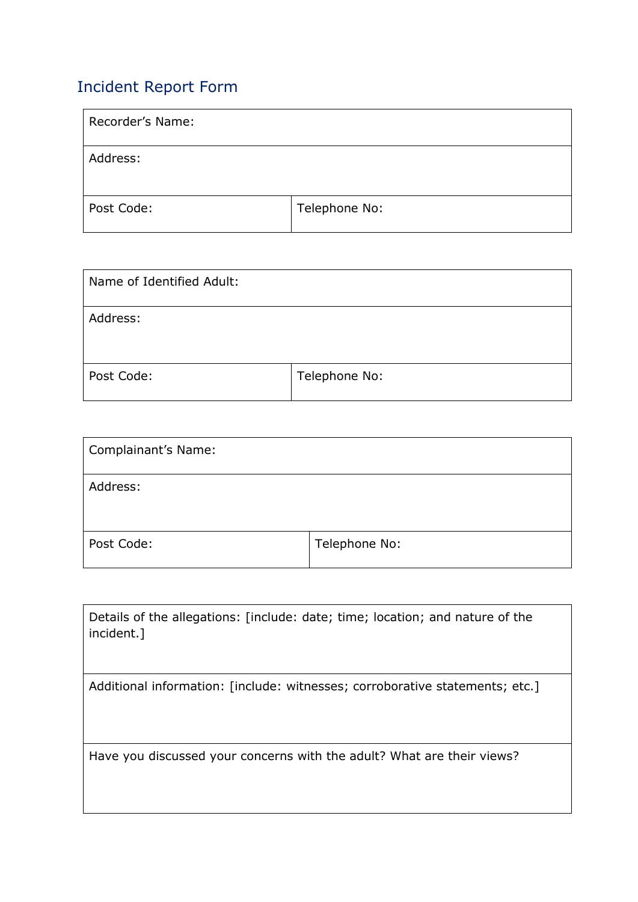## <span id="page-12-0"></span>Incident Report Form

| Recorder's Name: |               |
|------------------|---------------|
| Address:         |               |
| Post Code:       | Telephone No: |

| Name of Identified Adult: |               |
|---------------------------|---------------|
| Address:                  |               |
| Post Code:                | Telephone No: |

| Complainant's Name: |               |
|---------------------|---------------|
| Address:            |               |
| Post Code:          | Telephone No: |

| Details of the allegations: [include: date; time; location; and nature of the<br>incident.] |
|---------------------------------------------------------------------------------------------|
| Additional information: [include: witnesses; corroborative statements; etc.]                |
|                                                                                             |
|                                                                                             |
|                                                                                             |
| Have you discussed your concerns with the adult? What are their views?                      |
|                                                                                             |
|                                                                                             |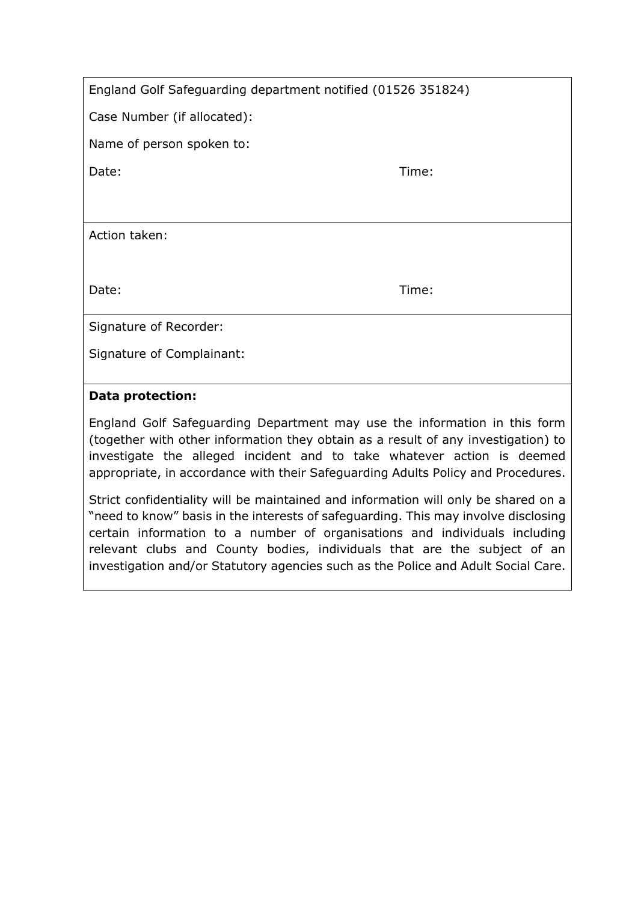| England Golf Safeguarding department notified (01526 351824) |  |  |
|--------------------------------------------------------------|--|--|
|--------------------------------------------------------------|--|--|

Case Number (if allocated):

Name of person spoken to:

Date: Time: Time: The Solution of the Solution of the Solution of the Time: Time:

Action taken:

Date: Time: Time: The Solution of the Solution of the Solution of the Time: Time:

Signature of Recorder:

Signature of Complainant:

#### **Data protection:**

England Golf Safeguarding Department may use the information in this form (together with other information they obtain as a result of any investigation) to investigate the alleged incident and to take whatever action is deemed appropriate, in accordance with their Safeguarding Adults Policy and Procedures.

Strict confidentiality will be maintained and information will only be shared on a "need to know" basis in the interests of safeguarding. This may involve disclosing certain information to a number of organisations and individuals including relevant clubs and County bodies, individuals that are the subject of an investigation and/or Statutory agencies such as the Police and Adult Social Care.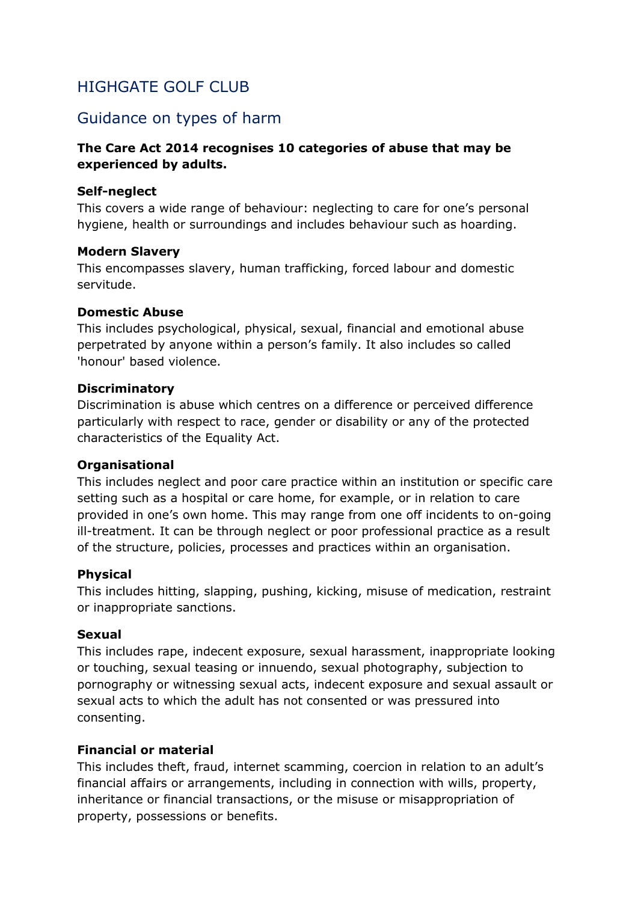## <span id="page-14-0"></span>HIGHGATE GOLF CLUB

## Guidance on types of harm

#### **The Care Act 2014 recognises 10 categories of abuse that may be experienced by adults.**

#### **Self-neglect**

This covers a wide range of behaviour: neglecting to care for one's personal hygiene, health or surroundings and includes behaviour such as hoarding.

#### **Modern Slavery**

This encompasses slavery, human trafficking, forced labour and domestic servitude.

#### **Domestic Abuse**

This includes psychological, physical, sexual, financial and emotional abuse perpetrated by anyone within a person's family. It also includes so called 'honour' based violence.

#### **Discriminatory**

Discrimination is abuse which centres on a difference or perceived difference particularly with respect to race, gender or disability or any of the protected characteristics of the Equality Act.

#### **Organisational**

This includes neglect and poor care practice within an institution or specific care setting such as a hospital or care home, for example, or in relation to care provided in one's own home. This may range from one off incidents to on-going ill-treatment. It can be through neglect or poor professional practice as a result of the structure, policies, processes and practices within an organisation.

#### **Physical**

This includes hitting, slapping, pushing, kicking, misuse of medication, restraint or inappropriate sanctions.

#### **Sexual**

This includes rape, indecent exposure, sexual harassment, inappropriate looking or touching, sexual teasing or innuendo, sexual photography, subjection to pornography or witnessing sexual acts, indecent exposure and sexual assault or sexual acts to which the adult has not consented or was pressured into consenting.

#### **Financial or material**

This includes theft, fraud, internet scamming, coercion in relation to an adult's financial affairs or arrangements, including in connection with wills, property, inheritance or financial transactions, or the misuse or misappropriation of property, possessions or benefits.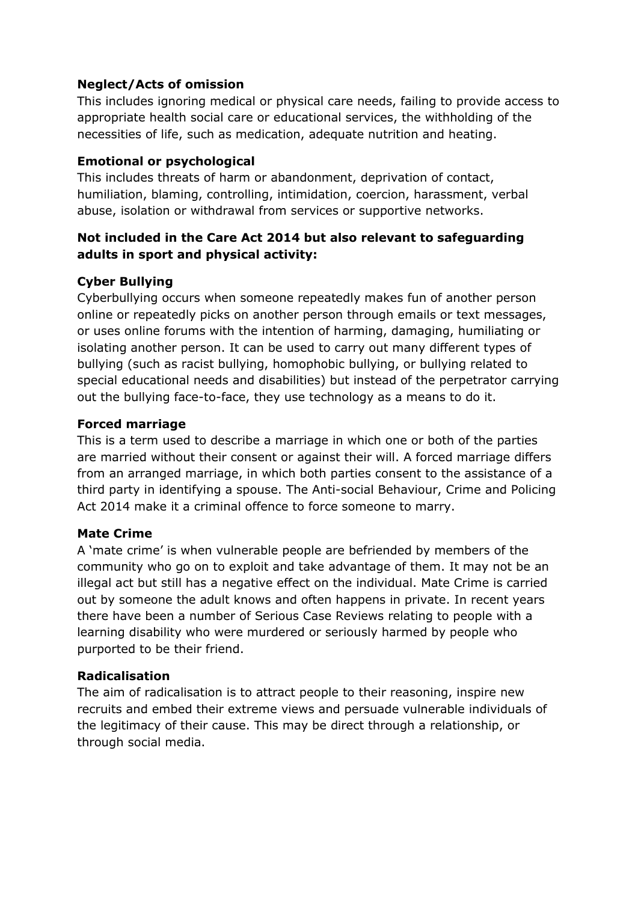#### **Neglect/Acts of omission**

This includes ignoring medical or physical care needs, failing to provide access to appropriate health social care or educational services, the withholding of the necessities of life, such as medication, adequate nutrition and heating.

#### **Emotional or psychological**

This includes threats of harm or abandonment, deprivation of contact, humiliation, blaming, controlling, intimidation, coercion, harassment, verbal abuse, isolation or withdrawal from services or supportive networks.

#### **Not included in the Care Act 2014 but also relevant to safeguarding adults in sport and physical activity:**

#### **Cyber Bullying**

Cyberbullying occurs when someone repeatedly makes fun of another person online or repeatedly picks on another person through emails or text messages, or uses online forums with the intention of harming, damaging, humiliating or isolating another person. It can be used to carry out many different types of bullying (such as racist bullying, homophobic bullying, or bullying related to special educational needs and disabilities) but instead of the perpetrator carrying out the bullying face-to-face, they use technology as a means to do it.

#### **Forced marriage**

This is a term used to describe a marriage in which one or both of the parties are married without their consent or against their will. A forced marriage differs from an arranged marriage, in which both parties consent to the assistance of a third party in identifying a spouse. The Anti-social Behaviour, Crime and Policing Act 2014 make it a criminal offence to force someone to marry.

#### **Mate Crime**

A 'mate crime' is when vulnerable people are befriended by members of the community who go on to exploit and take advantage of them. It may not be an illegal act but still has a negative effect on the individual. Mate Crime is carried out by someone the adult knows and often happens in private. In recent years there have been a number of Serious Case Reviews relating to people with a learning disability who were murdered or seriously harmed by people who purported to be their friend.

#### **Radicalisation**

The aim of radicalisation is to attract people to their reasoning, inspire new recruits and embed their extreme views and persuade vulnerable individuals of the legitimacy of their cause. This may be direct through a relationship, or through social media.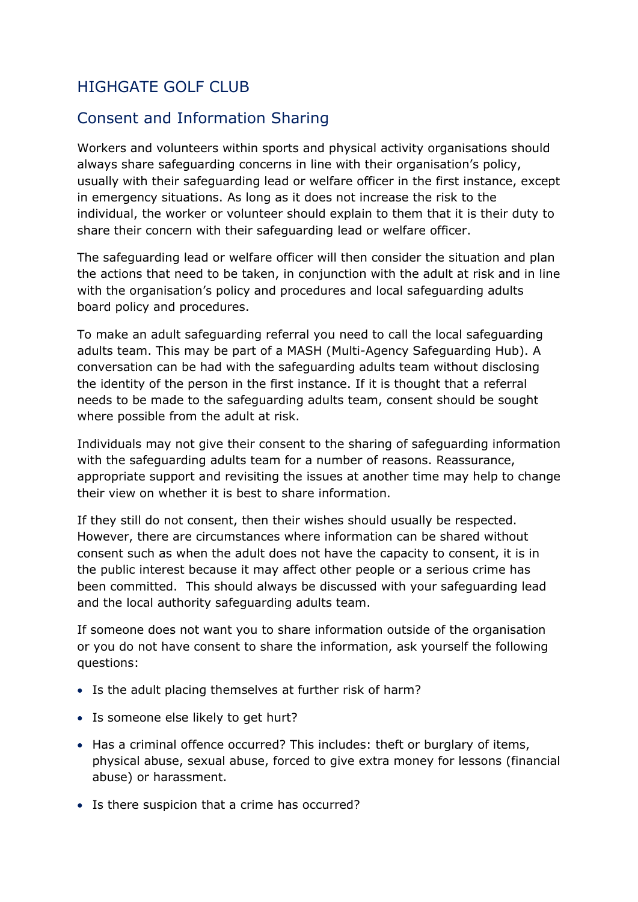## <span id="page-16-0"></span>HIGHGATE GOLF CLUB

## Consent and Information Sharing

Workers and volunteers within sports and physical activity organisations should always share safeguarding concerns in line with their organisation's policy, usually with their safeguarding lead or welfare officer in the first instance, except in emergency situations. As long as it does not increase the risk to the individual, the worker or volunteer should explain to them that it is their duty to share their concern with their safeguarding lead or welfare officer.

The safeguarding lead or welfare officer will then consider the situation and plan the actions that need to be taken, in conjunction with the adult at risk and in line with the organisation's policy and procedures and local safeguarding adults board policy and procedures.

To make an adult safeguarding referral you need to call the local safeguarding adults team. This may be part of a MASH (Multi*-*Agency Safeguarding Hub). A conversation can be had with the safeguarding adults team without disclosing the identity of the person in the first instance. If it is thought that a referral needs to be made to the safeguarding adults team, consent should be sought where possible from the adult at risk.

Individuals may not give their consent to the sharing of safeguarding information with the safeguarding adults team for a number of reasons. Reassurance, appropriate support and revisiting the issues at another time may help to change their view on whether it is best to share information.

If they still do not consent, then their wishes should usually be respected. However, there are circumstances where information can be shared without consent such as when the adult does not have the capacity to consent, it is in the public interest because it may affect other people or a serious crime has been committed. This should always be discussed with your safeguarding lead and the local authority safeguarding adults team.

If someone does not want you to share information outside of the organisation or you do not have consent to share the information, ask yourself the following questions:

- Is the adult placing themselves at further risk of harm?
- Is someone else likely to get hurt?
- Has a criminal offence occurred? This includes: theft or burglary of items, physical abuse, sexual abuse, forced to give extra money for lessons (financial abuse) or harassment.
- Is there suspicion that a crime has occurred?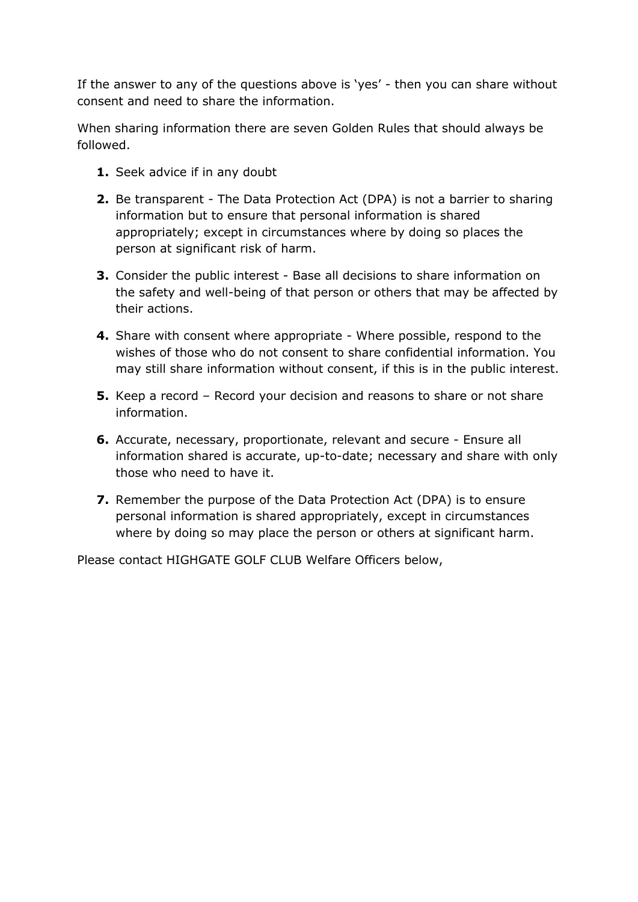If the answer to any of the questions above is 'yes' - then you can share without consent and need to share the information.

When sharing information there are seven Golden Rules that should always be followed.

- **1.** Seek advice if in any doubt
- **2.** Be transparent The Data Protection Act (DPA) is not a barrier to sharing information but to ensure that personal information is shared appropriately; except in circumstances where by doing so places the person at significant risk of harm.
- **3.** Consider the public interest Base all decisions to share information on the safety and well-being of that person or others that may be affected by their actions.
- **4.** Share with consent where appropriate Where possible, respond to the wishes of those who do not consent to share confidential information. You may still share information without consent, if this is in the public interest.
- **5.** Keep a record Record your decision and reasons to share or not share information.
- **6.** Accurate, necessary, proportionate, relevant and secure Ensure all information shared is accurate, up-to-date; necessary and share with only those who need to have it.
- **7.** Remember the purpose of the Data Protection Act (DPA) is to ensure personal information is shared appropriately, except in circumstances where by doing so may place the person or others at significant harm.

Please contact HIGHGATE GOLF CLUB Welfare Officers below,